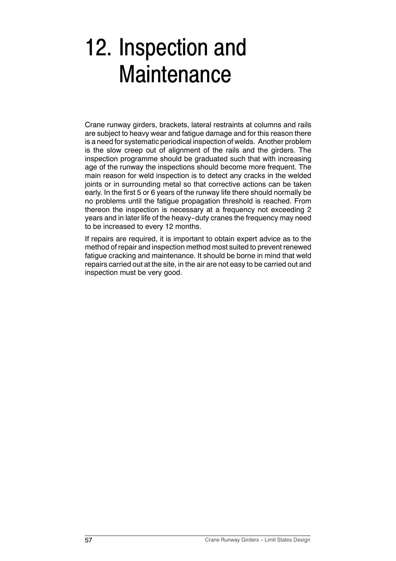## 12. Inspection and **Maintenance**

Crane runway girders, brackets, lateral restraints at columns and rails are subject to heavy wear and fatigue damage and for this reason there is a need for systematic periodical inspection of welds. Another problem is the slow creep out of alignment of the rails and the girders. The inspection programme should be graduated such that with increasing age of the runway the inspections should become more frequent. The main reason for weld inspection is to detect any cracks in the welded joints or in surrounding metal so that corrective actions can be taken early. In the first 5 or 6 years of the runway life there should normally be no problems until the fatigue propagation threshold is reached. From thereon the inspection is necessary at a frequency not exceeding 2 years and in later life of the heavy-duty cranes the frequency may need to be increased to every 12 months.

If repairs are required, it is important to obtain expert advice as to the method of repair and inspection method most suited to prevent renewed fatigue cracking and maintenance. It should be borne in mind that weld repairs carried out at the site, in the air are not easy to be carried out and inspection must be very good.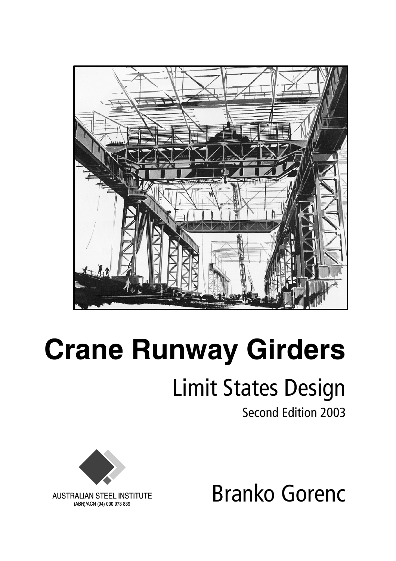

## **Crane Runway Girders** Limit States Design

Second Edition 2003





AUSTRALIAN STEEL INSTITUTE (ABN)/ACN (94) 000 973 839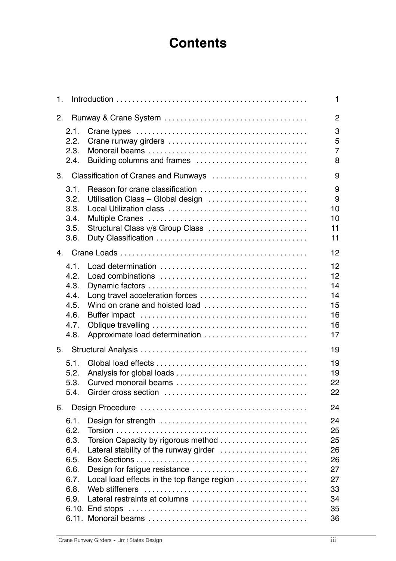## **Contents**

|                                                                                                                                                               | 1                                                              |
|---------------------------------------------------------------------------------------------------------------------------------------------------------------|----------------------------------------------------------------|
|                                                                                                                                                               | $\overline{2}$                                                 |
| Building columns and frames                                                                                                                                   | 3<br>5<br>$\overline{7}$<br>8                                  |
|                                                                                                                                                               | 9                                                              |
| Reason for crane classification<br>Utilisation Class - Global design<br>Structural Class v/s Group Class                                                      | 9<br>9<br>10<br>10<br>11<br>11                                 |
|                                                                                                                                                               | 12                                                             |
| Long travel acceleration forces<br>Wind on crane and hoisted load<br>Approximate load determination                                                           | 12<br>12<br>14<br>14<br>15<br>16<br>16<br>17                   |
|                                                                                                                                                               | 19                                                             |
|                                                                                                                                                               | 19<br>19<br>22<br>22                                           |
|                                                                                                                                                               | 24                                                             |
| Torsion Capacity by rigorous method<br>Lateral stability of the runway girder<br>Local load effects in the top flange region<br>Lateral restraints at columns | 24<br>25<br>25<br>26<br>26<br>27<br>27<br>33<br>34<br>35<br>36 |
|                                                                                                                                                               | Classification of Cranes and Runways                           |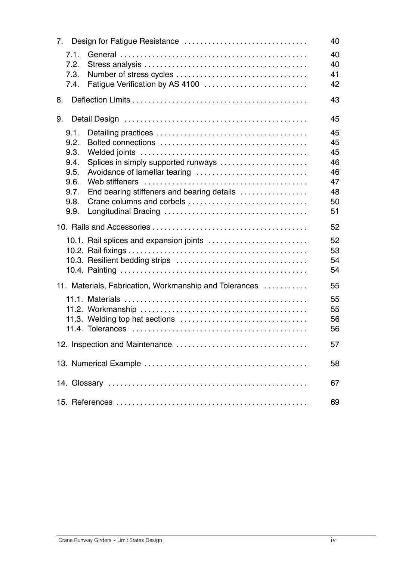|                                                        | 40       |  |
|--------------------------------------------------------|----------|--|
| 7.1.<br>7.2.                                           | 40<br>40 |  |
| 7.3.                                                   | 41       |  |
| Fatigue Verification by AS 4100<br>7.4.                | 42       |  |
| 8.                                                     | 43       |  |
| 9.                                                     | 45       |  |
| 9.1.                                                   | 45       |  |
| 9.2.                                                   | 45       |  |
| 9.3.                                                   | 45       |  |
| Splices in simply supported runways<br>9.4.            | 46       |  |
| Avoidance of lamellar tearing<br>9.5.                  | 46       |  |
| 9.6.                                                   | 47       |  |
| End bearing stiffeners and bearing details<br>9.7.     | 48       |  |
| Crane columns and corbels<br>9.8.                      | 50       |  |
| 9.9.                                                   | 51       |  |
|                                                        |          |  |
|                                                        | 52       |  |
| 10.1. Rail splices and expansion joints                | 52       |  |
|                                                        | 53       |  |
|                                                        | 54       |  |
|                                                        | 54       |  |
| 11. Materials, Fabrication, Workmanship and Tolerances | 55       |  |
|                                                        |          |  |
|                                                        | 55       |  |
|                                                        | 55       |  |
|                                                        | 56       |  |
|                                                        | 56       |  |
|                                                        | 57       |  |
|                                                        |          |  |
|                                                        | 58       |  |
|                                                        |          |  |
|                                                        | 67       |  |
|                                                        |          |  |